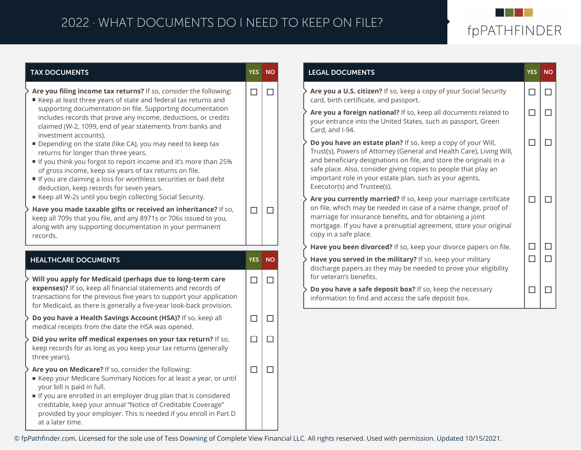## 2022 · WHAT DOCUMENTS DO I NEED TO KEEP ON FILE?



| <b>TAX DOCUMENTS</b>                                                                                                                                                                                                                                                                                                                                                              |        | YES NO | <b>LEGAL DOCUMENTS</b>                                                                                                                                                                                                                                                                                                                                                   |
|-----------------------------------------------------------------------------------------------------------------------------------------------------------------------------------------------------------------------------------------------------------------------------------------------------------------------------------------------------------------------------------|--------|--------|--------------------------------------------------------------------------------------------------------------------------------------------------------------------------------------------------------------------------------------------------------------------------------------------------------------------------------------------------------------------------|
| Are you filing income tax returns? If so, consider the following:<br>■ Keep at least three years of state and federal tax returns and<br>supporting documentation on file. Supporting documentation<br>includes records that prove any income, deductions, or credits<br>claimed (W-2, 1099, end of year statements from banks and                                                | $\Box$ | $\Box$ | Are you a U.S. citizen? If so, keep a copy of your Social Security<br>card, birth certificate, and passport.                                                                                                                                                                                                                                                             |
|                                                                                                                                                                                                                                                                                                                                                                                   |        |        | Are you a foreign national? If so, keep all documents related to<br>your entrance into the United States, such as passport, Green<br>Card, and I-94.                                                                                                                                                                                                                     |
| investment accounts).<br>Depending on the state (like CA), you may need to keep tax<br>returns for longer than three years.<br>If you think you forgot to report income and it's more than 25%<br>of gross income, keep six years of tax returns on file.<br>If you are claiming a loss for worthless securities or bad debt<br>deduction, keep records for seven years.          |        |        | Do you have an estate plan? If so, keep a copy of your Will,<br>Trust(s), Powers of Attorney (General and Health Care), Living Will,<br>and beneficiary designations on file, and store the originals in a<br>safe place. Also, consider giving copies to people that play an<br>important role in your estate plan, such as your agents,<br>Executor(s) and Trustee(s). |
| Keep all W-2s until you begin collecting Social Security.<br>Have you made taxable gifts or received an inheritance? If so,<br>keep all 709s that you file, and any 8971s or 706s issued to you,<br>along with any supporting documentation in your permanent<br>records.                                                                                                         | $\Box$ | $\Box$ | Are you currently married? If so, keep your marriage certificate<br>on file, which may be needed in case of a name change, proof of<br>marriage for insurance benefits, and for obtaining a joint<br>mortgage. If you have a prenuptial agreement, store your original<br>copy in a safe place.                                                                          |
|                                                                                                                                                                                                                                                                                                                                                                                   |        |        | Have you been divorced? If so, keep your divorce papers on file.                                                                                                                                                                                                                                                                                                         |
| <b>HEALTHCARE DOCUMENTS</b><br>Will you apply for Medicaid (perhaps due to long-term care                                                                                                                                                                                                                                                                                         |        | YES NO | Have you served in the military? If so, keep your military<br>discharge papers as they may be needed to prove your eligibility<br>for veteran's benefits.                                                                                                                                                                                                                |
| expenses)? If so, keep all financial statements and records of<br>transactions for the previous five years to support your application<br>for Medicaid, as there is generally a five-year look-back provision.                                                                                                                                                                    | $\Box$ | ΙI     | Do you have a safe deposit box? If so, keep the necessary<br>information to find and access the safe deposit box.                                                                                                                                                                                                                                                        |
| Do you have a Health Savings Account (HSA)? If so, keep all<br>medical receipts from the date the HSA was opened.                                                                                                                                                                                                                                                                 | $\Box$ | $\Box$ |                                                                                                                                                                                                                                                                                                                                                                          |
| Did you write off medical expenses on your tax return? If so,<br>keep records for as long as you keep your tax returns (generally<br>three years).                                                                                                                                                                                                                                | $\Box$ | □      |                                                                                                                                                                                                                                                                                                                                                                          |
| Are you on Medicare? If so, consider the following:<br>Keep your Medicare Summary Notices for at least a year, or until<br>your bill is paid in full.<br>If you are enrolled in an employer drug plan that is considered<br>creditable, keep your annual "Notice of Creditable Coverage"<br>provided by your employer. This is needed if you enroll in Part D<br>at a later time. | $\Box$ | □      |                                                                                                                                                                                                                                                                                                                                                                          |

© fpPathfinder.com. Licensed for the sole use of Tess Downing of Complete View Financial LLC. All rights reserved. Used with permission. Updated 10/15/2021.